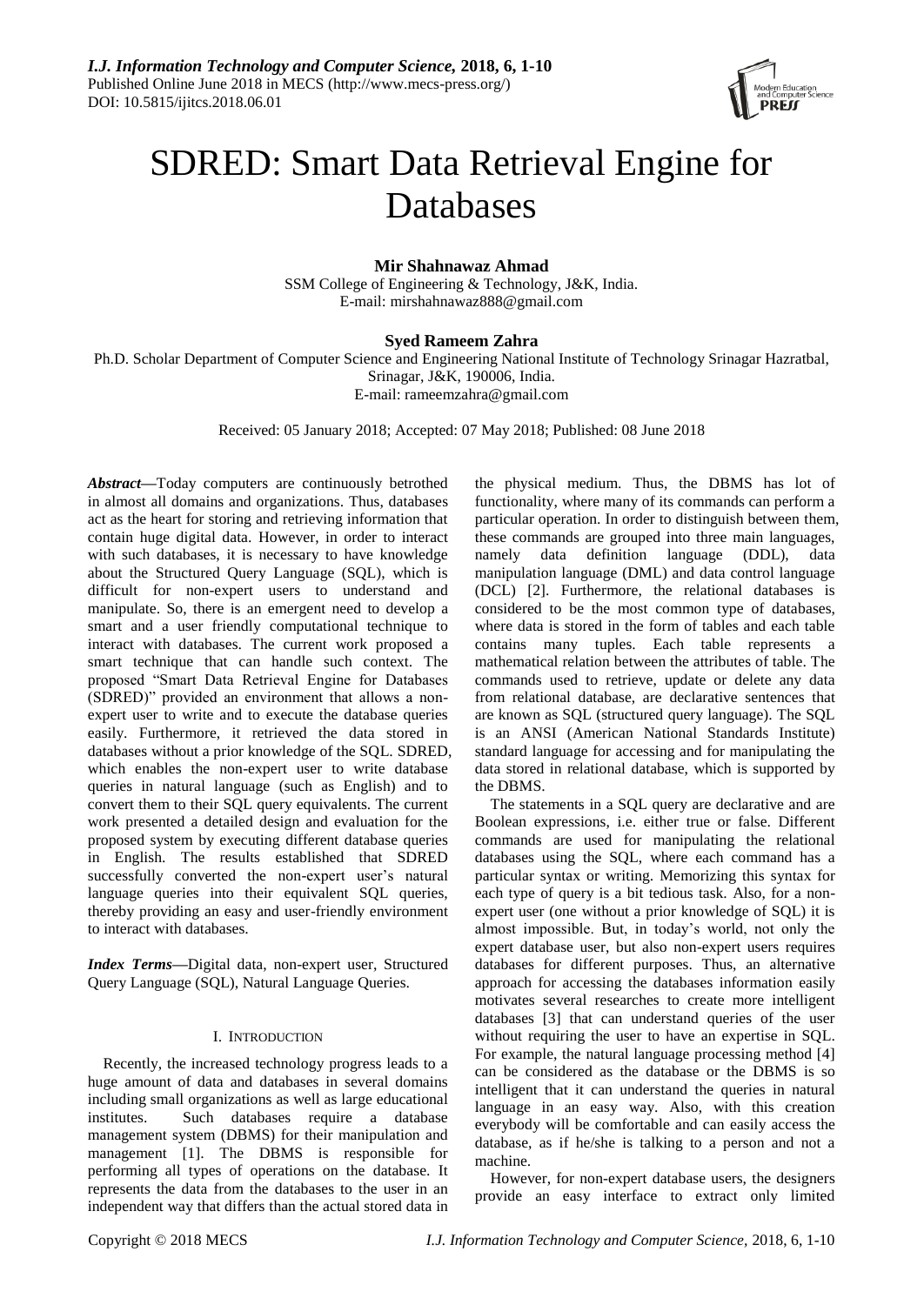

# SDRED: Smart Data Retrieval Engine for Databases

## **Mir Shahnawaz Ahmad**

SSM College of Engineering & Technology, J&K, India. E-mail: mirshahnawaz888@gmail.com

# **Syed Rameem Zahra**

Ph.D. Scholar Department of Computer Science and Engineering National Institute of Technology Srinagar Hazratbal, Srinagar, J&K, 190006, India. E-mail: rameemzahra@gmail.com

Received: 05 January 2018; Accepted: 07 May 2018; Published: 08 June 2018

*Abstract—*Today computers are continuously betrothed in almost all domains and organizations. Thus, databases act as the heart for storing and retrieving information that contain huge digital data. However, in order to interact with such databases, it is necessary to have knowledge about the Structured Query Language (SQL), which is difficult for non-expert users to understand and manipulate. So, there is an emergent need to develop a smart and a user friendly computational technique to interact with databases. The current work proposed a smart technique that can handle such context. The proposed "Smart Data Retrieval Engine for Databases (SDRED)" provided an environment that allows a nonexpert user to write and to execute the database queries easily. Furthermore, it retrieved the data stored in databases without a prior knowledge of the SQL. SDRED, which enables the non-expert user to write database queries in natural language (such as English) and to convert them to their SQL query equivalents. The current work presented a detailed design and evaluation for the proposed system by executing different database queries in English. The results established that SDRED successfully converted the non-expert user's natural language queries into their equivalent SQL queries, thereby providing an easy and user-friendly environment to interact with databases.

*Index Terms—*Digital data, non-expert user, Structured Query Language (SQL), Natural Language Queries.

## I. INTRODUCTION

Recently, the increased technology progress leads to a huge amount of data and databases in several domains including small organizations as well as large educational institutes. Such databases require a database management system (DBMS) for their manipulation and management [1]. The DBMS is responsible for performing all types of operations on the database. It represents the data from the databases to the user in an independent way that differs than the actual stored data in the physical medium. Thus, the DBMS has lot of functionality, where many of its commands can perform a particular operation. In order to distinguish between them, these commands are grouped into three main languages, namely data definition language (DDL), data manipulation language (DML) and data control language (DCL) [2]. Furthermore, the relational databases is considered to be the most common type of databases, where data is stored in the form of tables and each table contains many tuples. Each table represents a mathematical relation between the attributes of table. The commands used to retrieve, update or delete any data from relational database, are declarative sentences that are known as SQL (structured query language). The SQL is an ANSI (American National Standards Institute) standard language for accessing and for manipulating the data stored in relational database, which is supported by the DBMS.

The statements in a SQL query are declarative and are Boolean expressions, i.e. either true or false. Different commands are used for manipulating the relational databases using the SQL, where each command has a particular syntax or writing. Memorizing this syntax for each type of query is a bit tedious task. Also, for a nonexpert user (one without a prior knowledge of SQL) it is almost impossible. But, in today's world, not only the expert database user, but also non-expert users requires databases for different purposes. Thus, an alternative approach for accessing the databases information easily motivates several researches to create more intelligent databases [3] that can understand queries of the user without requiring the user to have an expertise in SQL. For example, the natural language processing method [4] can be considered as the database or the DBMS is so intelligent that it can understand the queries in natural language in an easy way. Also, with this creation everybody will be comfortable and can easily access the database, as if he/she is talking to a person and not a machine.

However, for non-expert database users, the designers provide an easy interface to extract only limited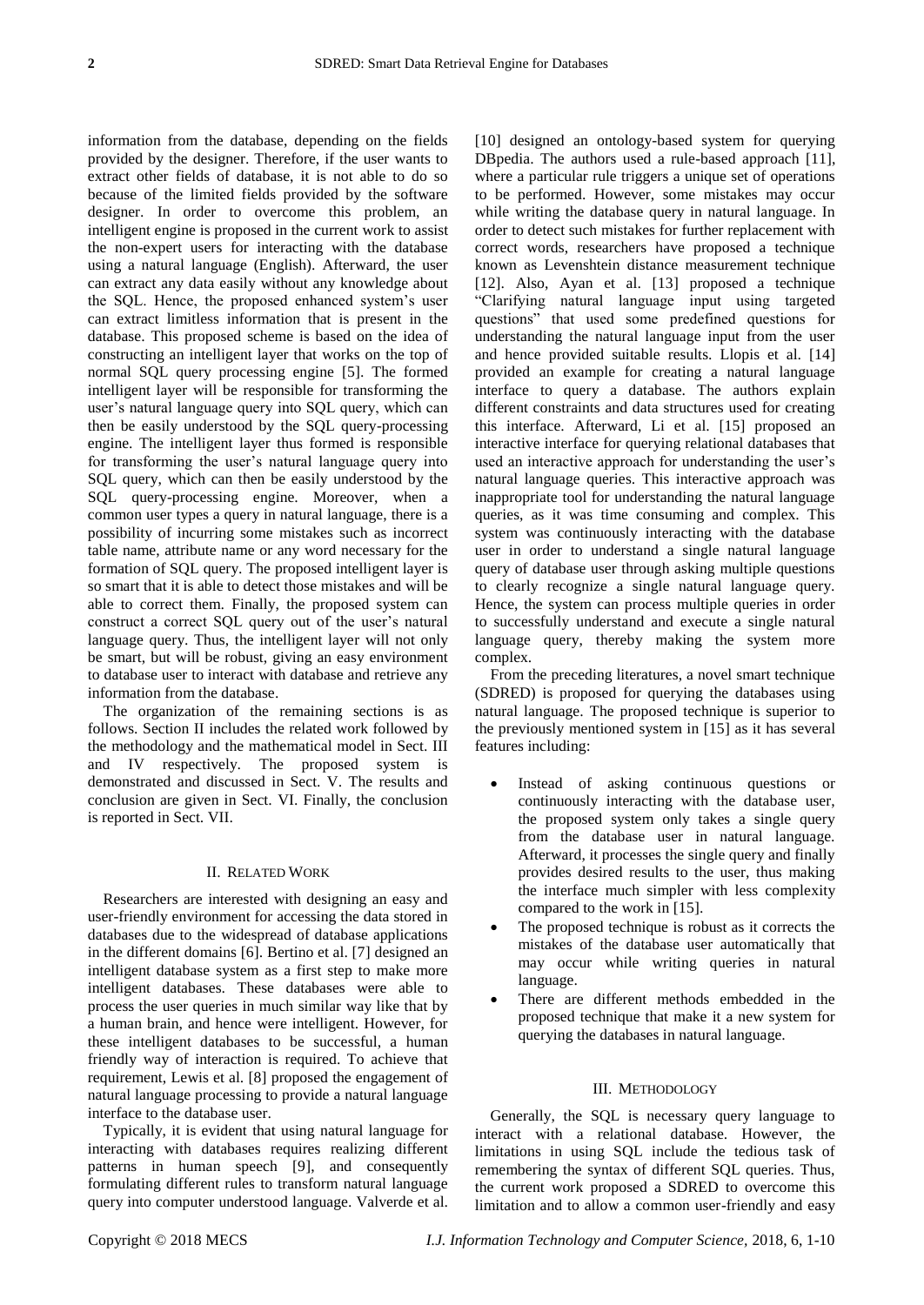information from the database, depending on the fields provided by the designer. Therefore, if the user wants to extract other fields of database, it is not able to do so because of the limited fields provided by the software designer. In order to overcome this problem, an intelligent engine is proposed in the current work to assist the non-expert users for interacting with the database using a natural language (English). Afterward, the user can extract any data easily without any knowledge about the SQL. Hence, the proposed enhanced system's user can extract limitless information that is present in the database. This proposed scheme is based on the idea of constructing an intelligent layer that works on the top of normal SQL query processing engine [5]. The formed intelligent layer will be responsible for transforming the user's natural language query into SQL query, which can then be easily understood by the SQL query-processing engine. The intelligent layer thus formed is responsible for transforming the user's natural language query into SQL query, which can then be easily understood by the SQL query-processing engine. Moreover, when a common user types a query in natural language, there is a possibility of incurring some mistakes such as incorrect table name, attribute name or any word necessary for the formation of SQL query. The proposed intelligent layer is so smart that it is able to detect those mistakes and will be able to correct them. Finally, the proposed system can construct a correct SQL query out of the user's natural language query. Thus, the intelligent layer will not only be smart, but will be robust, giving an easy environment to database user to interact with database and retrieve any information from the database.

The organization of the remaining sections is as follows. Section II includes the related work followed by the methodology and the mathematical model in Sect. III and IV respectively. The proposed system is demonstrated and discussed in Sect. V. The results and conclusion are given in Sect. VI. Finally, the conclusion is reported in Sect. VII.

#### II. RELATED WORK

Researchers are interested with designing an easy and user-friendly environment for accessing the data stored in databases due to the widespread of database applications in the different domains [6]. Bertino et al. [7] designed an intelligent database system as a first step to make more intelligent databases. These databases were able to process the user queries in much similar way like that by a human brain, and hence were intelligent. However, for these intelligent databases to be successful, a human friendly way of interaction is required. To achieve that requirement, Lewis et al. [8] proposed the engagement of natural language processing to provide a natural language interface to the database user.

Typically, it is evident that using natural language for interacting with databases requires realizing different patterns in human speech [9], and consequently formulating different rules to transform natural language query into computer understood language. Valverde et al.

[10] designed an ontology-based system for querying DBpedia. The authors used a rule-based approach [11], where a particular rule triggers a unique set of operations to be performed. However, some mistakes may occur while writing the database query in natural language. In order to detect such mistakes for further replacement with correct words, researchers have proposed a technique known as Levenshtein distance measurement technique [12]. Also, Ayan et al. [13] proposed a technique "Clarifying natural language input using targeted questions" that used some predefined questions for understanding the natural language input from the user and hence provided suitable results. Llopis et al. [14] provided an example for creating a natural language interface to query a database. The authors explain different constraints and data structures used for creating this interface. Afterward, Li et al. [15] proposed an interactive interface for querying relational databases that used an interactive approach for understanding the user's natural language queries. This interactive approach was inappropriate tool for understanding the natural language queries, as it was time consuming and complex. This system was continuously interacting with the database user in order to understand a single natural language query of database user through asking multiple questions to clearly recognize a single natural language query. Hence, the system can process multiple queries in order to successfully understand and execute a single natural language query, thereby making the system more complex.

From the preceding literatures, a novel smart technique (SDRED) is proposed for querying the databases using natural language. The proposed technique is superior to the previously mentioned system in [15] as it has several features including:

- Instead of asking continuous questions or continuously interacting with the database user, the proposed system only takes a single query from the database user in natural language. Afterward, it processes the single query and finally provides desired results to the user, thus making the interface much simpler with less complexity compared to the work in [15].
- The proposed technique is robust as it corrects the mistakes of the database user automatically that may occur while writing queries in natural language.
- There are different methods embedded in the proposed technique that make it a new system for querying the databases in natural language.

#### III. METHODOLOGY

Generally, the SQL is necessary query language to interact with a relational database. However, the limitations in using SQL include the tedious task of remembering the syntax of different SQL queries. Thus, the current work proposed a SDRED to overcome this limitation and to allow a common user-friendly and easy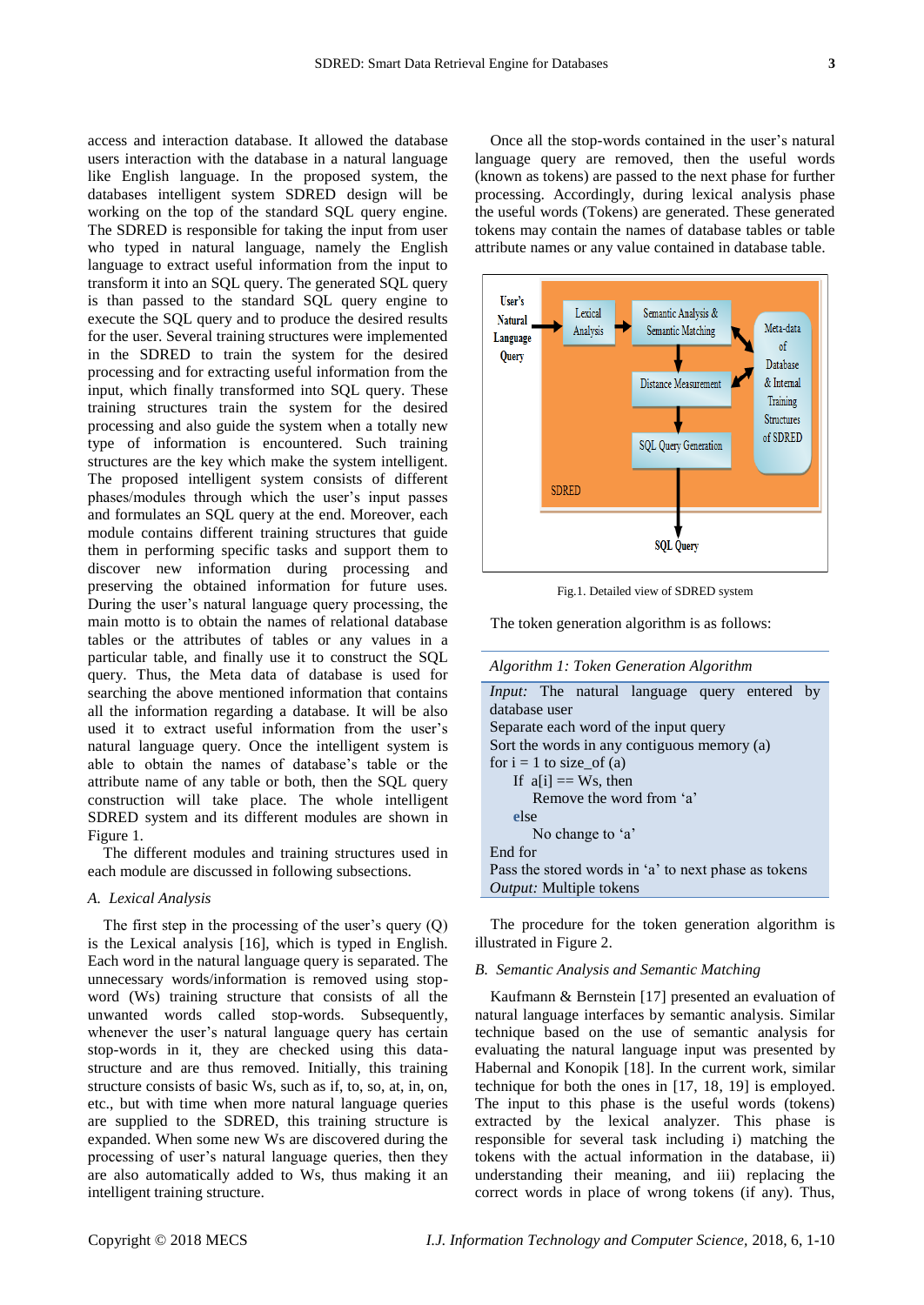access and interaction database. It allowed the database users interaction with the database in a natural language like English language. In the proposed system, the databases intelligent system SDRED design will be working on the top of the standard SQL query engine. The SDRED is responsible for taking the input from user who typed in natural language, namely the English language to extract useful information from the input to transform it into an SQL query. The generated SQL query is than passed to the standard SQL query engine to execute the SQL query and to produce the desired results for the user. Several training structures were implemented in the SDRED to train the system for the desired processing and for extracting useful information from the input, which finally transformed into SQL query. These training structures train the system for the desired processing and also guide the system when a totally new type of information is encountered. Such training structures are the key which make the system intelligent. The proposed intelligent system consists of different phases/modules through which the user's input passes and formulates an SQL query at the end. Moreover, each module contains different training structures that guide them in performing specific tasks and support them to discover new information during processing and preserving the obtained information for future uses. During the user's natural language query processing, the main motto is to obtain the names of relational database tables or the attributes of tables or any values in a particular table, and finally use it to construct the SQL query. Thus, the Meta data of database is used for searching the above mentioned information that contains all the information regarding a database. It will be also used it to extract useful information from the user's natural language query. Once the intelligent system is able to obtain the names of database's table or the attribute name of any table or both, then the SQL query construction will take place. The whole intelligent SDRED system and its different modules are shown in Figure 1.

The different modules and training structures used in each module are discussed in following subsections.

## *A. Lexical Analysis*

The first step in the processing of the user's query (Q) is the Lexical analysis [16], which is typed in English. Each word in the natural language query is separated. The unnecessary words/information is removed using stopword (Ws) training structure that consists of all the unwanted words called stop-words. Subsequently, whenever the user's natural language query has certain stop-words in it, they are checked using this datastructure and are thus removed. Initially, this training structure consists of basic Ws, such as if, to, so, at, in, on, etc., but with time when more natural language queries are supplied to the SDRED, this training structure is expanded. When some new Ws are discovered during the processing of user's natural language queries, then they are also automatically added to Ws, thus making it an intelligent training structure.

Once all the stop-words contained in the user's natural language query are removed, then the useful words (known as tokens) are passed to the next phase for further processing. Accordingly, during lexical analysis phase the useful words (Tokens) are generated. These generated tokens may contain the names of database tables or table attribute names or any value contained in database table.



Fig.1. Detailed view of SDRED system

The token generation algorithm is as follows:

*Algorithm 1: Token Generation Algorithm*

| <i>Input</i> : The natural language query entered by |
|------------------------------------------------------|
| database user                                        |
| Separate each word of the input query                |
| Sort the words in any contiguous memory (a)          |
| for $i = 1$ to size_of (a)                           |
| If $a[i] == Ws$ , then                               |
| Remove the word from 'a'                             |
| else                                                 |
| No change to 'a'                                     |
| End for                                              |
| Pass the stored words in 'a' to next phase as tokens |
| <i>Output:</i> Multiple tokens                       |

The procedure for the token generation algorithm is illustrated in Figure 2.

## *B. Semantic Analysis and Semantic Matching*

Kaufmann & Bernstein [17] presented an evaluation of natural language interfaces by semantic analysis. Similar technique based on the use of semantic analysis for evaluating the natural language input was presented by Habernal and Konopik [18]. In the current work, similar technique for both the ones in [17, 18, 19] is employed. The input to this phase is the useful words (tokens) extracted by the lexical analyzer. This phase is responsible for several task including i) matching the tokens with the actual information in the database, ii) understanding their meaning, and iii) replacing the correct words in place of wrong tokens (if any). Thus,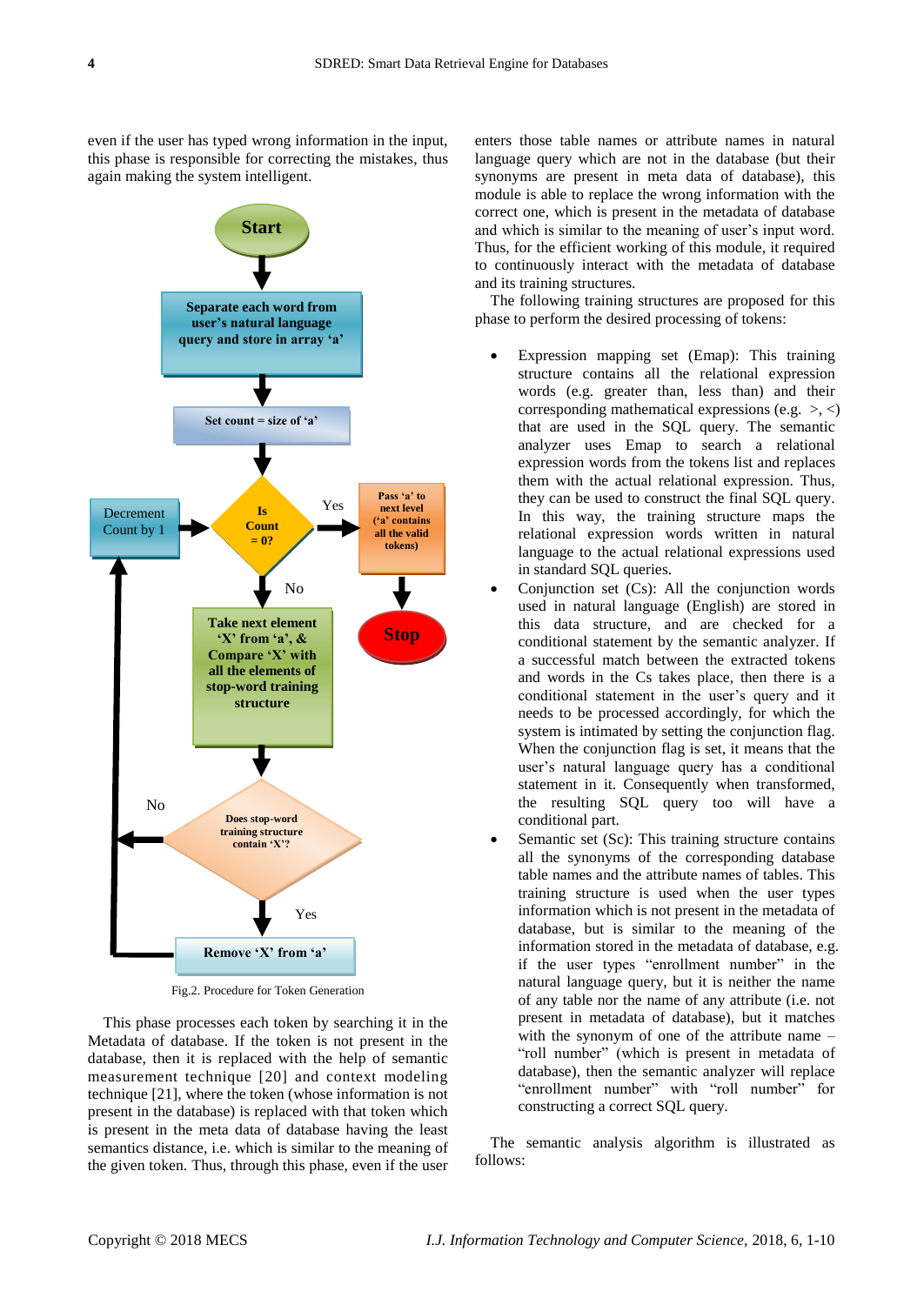even if the user has typed wrong information in the input, this phase is responsible for correcting the mistakes, thus again making the system intelligent.



Fig.2. Procedure for Token Generation

This phase processes each token by searching it in the Metadata of database. If the token is not present in the database, then it is replaced with the help of semantic measurement technique [20] and context modeling technique [21], where the token (whose information is not present in the database) is replaced with that token which is present in the meta data of database having the least semantics distance, i.e. which is similar to the meaning of the given token. Thus, through this phase, even if the user enters those table names or attribute names in natural language query which are not in the database (but their synonyms are present in meta data of database), this module is able to replace the wrong information with the correct one, which is present in the metadata of database and which is similar to the meaning of user's input word. Thus, for the efficient working of this module, it required to continuously interact with the metadata of database and its training structures.

The following training structures are proposed for this phase to perform the desired processing of tokens:

- Expression mapping set (Emap): This training structure contains all the relational expression words (e.g. greater than, less than) and their corresponding mathematical expressions (e.g.  $>$ ,  $\lt$ ) that are used in the SQL query. The semantic analyzer uses Emap to search a relational expression words from the tokens list and replaces them with the actual relational expression. Thus, they can be used to construct the final SQL query. In this way, the training structure maps the relational expression words written in natural language to the actual relational expressions used in standard SQL queries.
- Conjunction set (Cs): All the conjunction words used in natural language (English) are stored in this data structure, and are checked for a conditional statement by the semantic analyzer. If a successful match between the extracted tokens and words in the Cs takes place, then there is a conditional statement in the user's query and it needs to be processed accordingly, for which the system is intimated by setting the conjunction flag. When the conjunction flag is set, it means that the user's natural language query has a conditional statement in it. Consequently when transformed, the resulting SQL query too will have a conditional part.
- Semantic set (Sc): This training structure contains all the synonyms of the corresponding database table names and the attribute names of tables. This training structure is used when the user types information which is not present in the metadata of database, but is similar to the meaning of the information stored in the metadata of database, e.g. if the user types "enrollment number" in the natural language query, but it is neither the name of any table nor the name of any attribute (i.e. not present in metadata of database), but it matches with the synonym of one of the attribute name – "roll number" (which is present in metadata of database), then the semantic analyzer will replace "enrollment number" with "roll number" for constructing a correct SQL query.

The semantic analysis algorithm is illustrated as follows: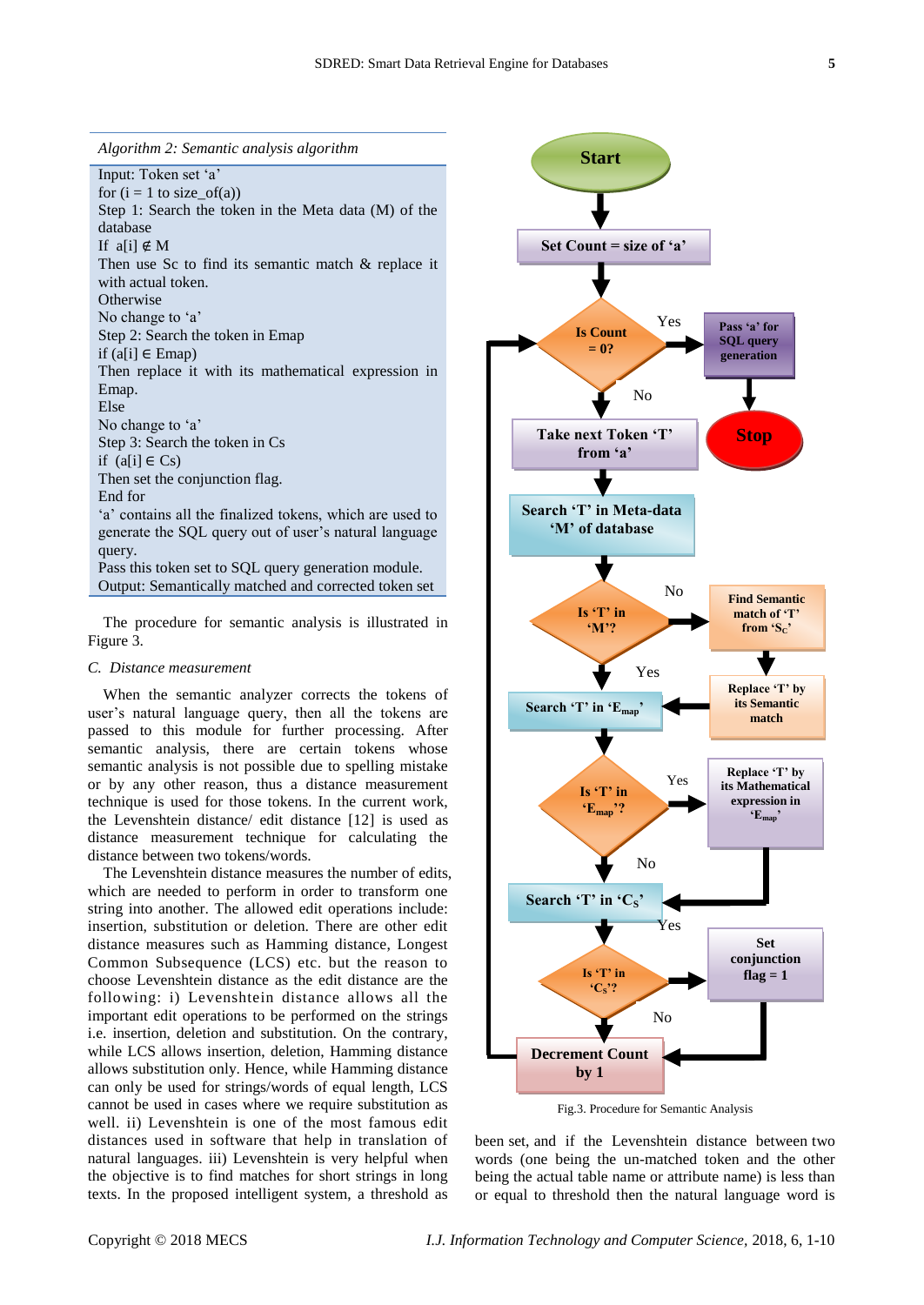*Algorithm 2: Semantic analysis algorithm*

Input: Token set 'a' for  $(i = 1$  to size\_of(a)) Step 1: Search the token in the Meta data (M) of the database If  $a[i] \notin M$ Then use Sc to find its semantic match & replace it with actual token. **Otherwise** No change to 'a' Step 2: Search the token in Emap if (a[i] ∈ Emap) Then replace it with its mathematical expression in Emap. Else No change to 'a' Step 3: Search the token in Cs if  $(a[i] ∈ Cs)$ Then set the conjunction flag. End for 'a' contains all the finalized tokens, which are used to generate the SQL query out of user's natural language query. Pass this token set to SQL query generation module. Output: Semantically matched and corrected token set

The procedure for semantic analysis is illustrated in Figure 3.

## *C. Distance measurement*

When the semantic analyzer corrects the tokens of user's natural language query, then all the tokens are passed to this module for further processing. After semantic analysis, there are certain tokens whose semantic analysis is not possible due to spelling mistake or by any other reason, thus a distance measurement technique is used for those tokens. In the current work, the Levenshtein distance/ edit distance [12] is used as distance measurement technique for calculating the distance between two tokens/words.

The Levenshtein distance measures the number of edits, which are needed to perform in order to transform one string into another. The allowed edit operations include: insertion, substitution or deletion. There are other edit distance measures such as Hamming distance, Longest Common Subsequence (LCS) etc. but the reason to choose Levenshtein distance as the edit distance are the following: i) Levenshtein distance allows all the important edit operations to be performed on the strings i.e. insertion, deletion and substitution. On the contrary, while LCS allows insertion, deletion, Hamming distance allows substitution only. Hence, while Hamming distance can only be used for strings/words of equal length, LCS cannot be used in cases where we require substitution as well. ii) Levenshtein is one of the most famous edit distances used in software that help in translation of natural languages. iii) Levenshtein is very helpful when the objective is to find matches for short strings in long texts. In the proposed intelligent system, a threshold as



Fig.3. Procedure for Semantic Analysis

been set, and if the Levenshtein distance between two words (one being the un-matched token and the other being the actual table name or attribute name) is less than or equal to threshold then the natural language word is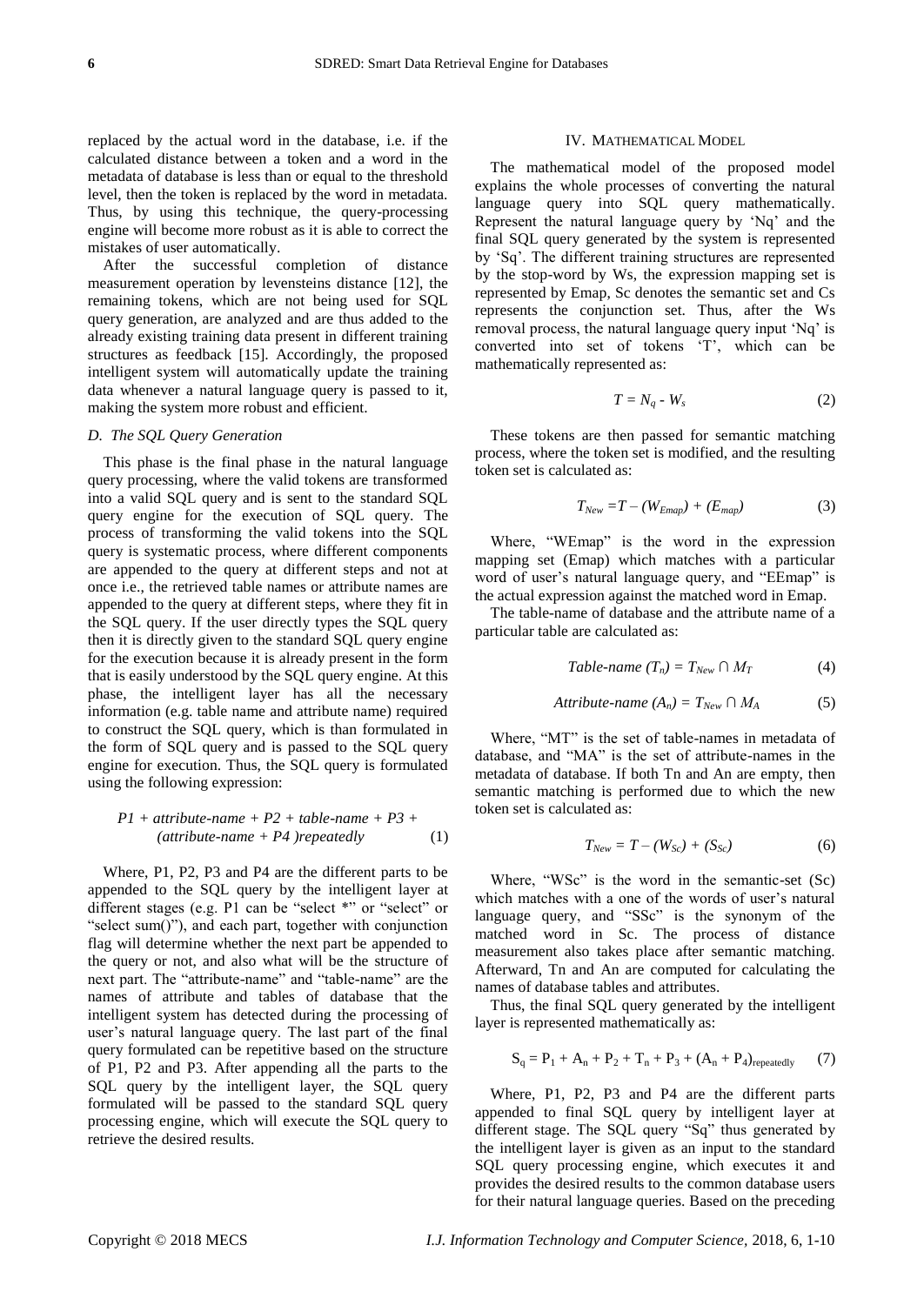replaced by the actual word in the database, i.e. if the calculated distance between a token and a word in the metadata of database is less than or equal to the threshold level, then the token is replaced by the word in metadata. Thus, by using this technique, the query-processing engine will become more robust as it is able to correct the mistakes of user automatically.

After the successful completion of distance measurement operation by levensteins distance [12], the remaining tokens, which are not being used for SQL query generation, are analyzed and are thus added to the already existing training data present in different training structures as feedback [15]. Accordingly, the proposed intelligent system will automatically update the training data whenever a natural language query is passed to it, making the system more robust and efficient.

## *D. The SQL Query Generation*

This phase is the final phase in the natural language query processing, where the valid tokens are transformed into a valid SQL query and is sent to the standard SQL query engine for the execution of SQL query. The process of transforming the valid tokens into the SQL query is systematic process, where different components are appended to the query at different steps and not at once i.e., the retrieved table names or attribute names are appended to the query at different steps, where they fit in the SQL query. If the user directly types the SQL query then it is directly given to the standard SQL query engine for the execution because it is already present in the form that is easily understood by the SQL query engine. At this phase, the intelligent layer has all the necessary information (e.g. table name and attribute name) required to construct the SQL query, which is than formulated in the form of SQL query and is passed to the SQL query engine for execution. Thus, the SQL query is formulated using the following expression:

$$
PI + attribute-name + P2 + table-name + P3 + (attribute-name + P4) repeatedly
$$
 (1)

Where, P1, P2, P3 and P4 are the different parts to be appended to the SQL query by the intelligent layer at different stages (e.g. P1 can be "select \*" or "select" or "select sum()"), and each part, together with conjunction flag will determine whether the next part be appended to the query or not, and also what will be the structure of next part. The "attribute-name" and "table-name" are the names of attribute and tables of database that the intelligent system has detected during the processing of user's natural language query. The last part of the final query formulated can be repetitive based on the structure of P1, P2 and P3. After appending all the parts to the SQL query by the intelligent layer, the SQL query formulated will be passed to the standard SQL query processing engine, which will execute the SQL query to retrieve the desired results.

#### IV. MATHEMATICAL MODEL

The mathematical model of the proposed model explains the whole processes of converting the natural language query into SQL query mathematically. Represent the natural language query by 'Nq' and the final SQL query generated by the system is represented by 'Sq'. The different training structures are represented by the stop-word by Ws, the expression mapping set is represented by Emap, Sc denotes the semantic set and Cs represents the conjunction set. Thus, after the Ws removal process, the natural language query input 'Nq' is converted into set of tokens 'T', which can be mathematically represented as:

$$
T = N_q - W_s \tag{2}
$$

These tokens are then passed for semantic matching process, where the token set is modified, and the resulting token set is calculated as:

$$
T_{New} = T - (W_{Emp}) + (E_{map})
$$
 (3)

Where, "WEmap" is the word in the expression mapping set (Emap) which matches with a particular word of user's natural language query, and "EEmap" is the actual expression against the matched word in Emap.

The table-name of database and the attribute name of a particular table are calculated as:

$$
Table\text{-}name (T_n) = T_{New} \cap M_T \tag{4}
$$

$$
Attribute\text{-}name (A_n) = T_{New} \cap M_A \tag{5}
$$

Where, "MT" is the set of table-names in metadata of database, and "MA" is the set of attribute-names in the metadata of database. If both Tn and An are empty, then semantic matching is performed due to which the new token set is calculated as:

$$
T_{New} = T - (W_{Sc}) + (S_{Sc}) \tag{6}
$$

Where, "WSc" is the word in the semantic-set (Sc) which matches with a one of the words of user's natural language query, and "SSc" is the synonym of the matched word in Sc. The process of distance measurement also takes place after semantic matching. Afterward, Tn and An are computed for calculating the names of database tables and attributes.

Thus, the final SQL query generated by the intelligent layer is represented mathematically as:

$$
S_q = P_1 + A_n + P_2 + T_n + P_3 + (A_n + P_4)_{repeatedly} \tag{7}
$$

Where, P1, P2, P3 and P4 are the different parts appended to final SQL query by intelligent layer at different stage. The SQL query "Sq" thus generated by the intelligent layer is given as an input to the standard SQL query processing engine, which executes it and provides the desired results to the common database users for their natural language queries. Based on the preceding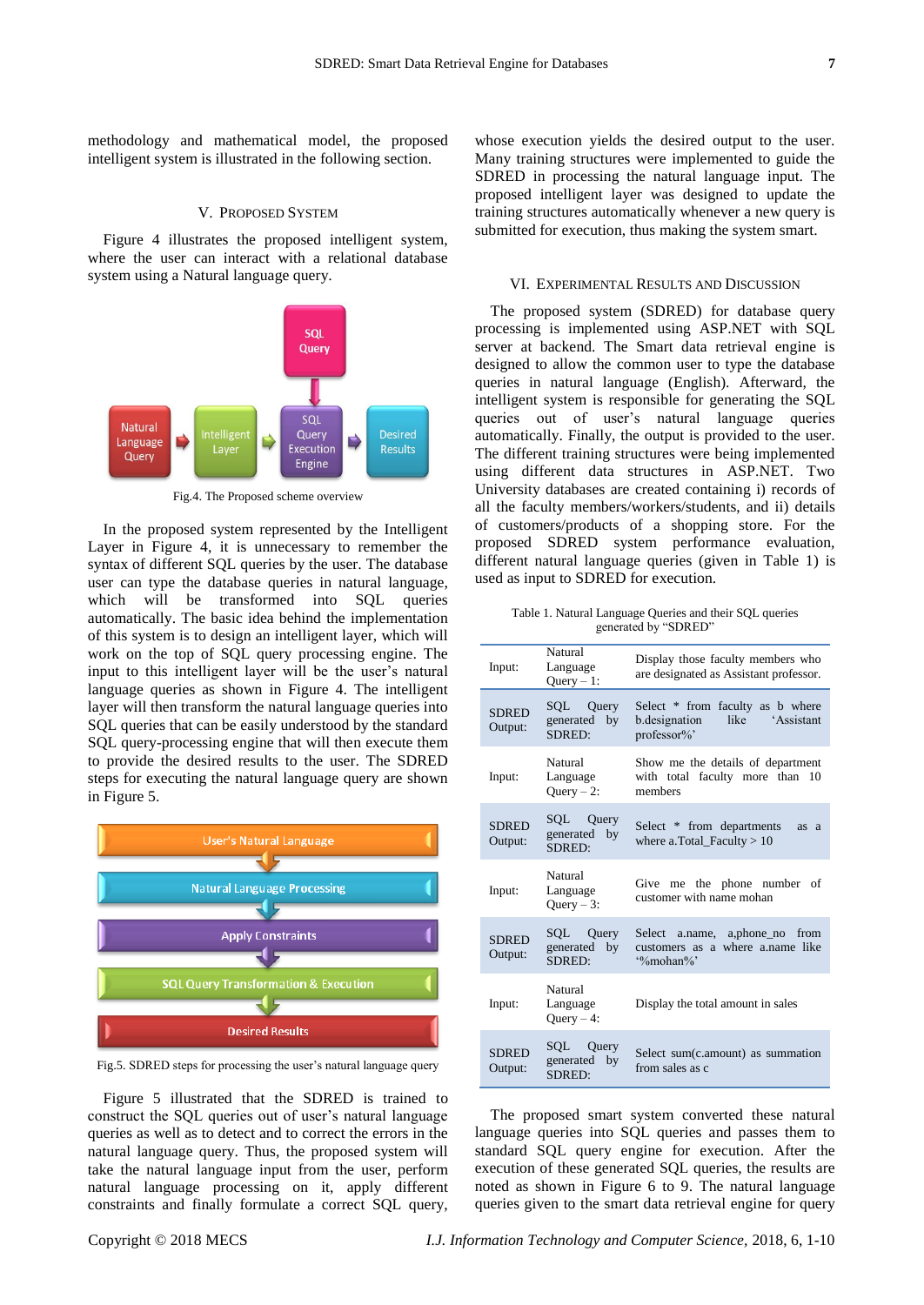methodology and mathematical model, the proposed intelligent system is illustrated in the following section.

### V. PROPOSED SYSTEM

Figure 4 illustrates the proposed intelligent system, where the user can interact with a relational database system using a Natural language query.



Fig.4. The Proposed scheme overview

In the proposed system represented by the Intelligent Layer in Figure 4, it is unnecessary to remember the syntax of different SQL queries by the user. The database user can type the database queries in natural language, which will be transformed into SQL queries automatically. The basic idea behind the implementation of this system is to design an intelligent layer, which will work on the top of SQL query processing engine. The input to this intelligent layer will be the user's natural language queries as shown in Figure 4. The intelligent layer will then transform the natural language queries into SQL queries that can be easily understood by the standard SQL query-processing engine that will then execute them to provide the desired results to the user. The SDRED steps for executing the natural language query are shown in Figure 5.



Fig.5. SDRED steps for processing the user's natural language query

Figure 5 illustrated that the SDRED is trained to construct the SQL queries out of user's natural language queries as well as to detect and to correct the errors in the natural language query. Thus, the proposed system will take the natural language input from the user, perform natural language processing on it, apply different constraints and finally formulate a correct SQL query,

whose execution yields the desired output to the user. Many training structures were implemented to guide the SDRED in processing the natural language input. The proposed intelligent layer was designed to update the training structures automatically whenever a new query is submitted for execution, thus making the system smart.

### VI. EXPERIMENTAL RESULTS AND DISCUSSION

The proposed system (SDRED) for database query processing is implemented using ASP.NET with SQL server at backend. The Smart data retrieval engine is designed to allow the common user to type the database queries in natural language (English). Afterward, the intelligent system is responsible for generating the SQL queries out of user's natural language queries automatically. Finally, the output is provided to the user. The different training structures were being implemented using different data structures in ASP.NET. Two University databases are created containing i) records of all the faculty members/workers/students, and ii) details of customers/products of a shopping store. For the proposed SDRED system performance evaluation, different natural language queries (given in Table 1) is used as input to SDRED for execution.

Table 1. Natural Language Queries and their SQL queries generated by "SDRED"

| Input:                  | Natural<br>Language<br>$Query - 1$ :   | Display those faculty members who<br>are designated as Assistant professor.                                   |
|-------------------------|----------------------------------------|---------------------------------------------------------------------------------------------------------------|
| <b>SDRED</b><br>Output: | Query<br>SQL<br>generated by<br>SDRED: | Select * from faculty as b where<br>'Assistant<br>b.designation<br>like<br>professor%'                        |
| Input:                  | Natural<br>Language<br>$Query - 2$ :   | Show me the details of department<br>with total faculty more than<br>10<br>members                            |
| <b>SDRED</b><br>Output: | SQL Query<br>generated by<br>SDRED:    | Select * from departments<br>as a<br>where a.Total_Faculty $> 10$                                             |
| Input:                  | Natural<br>Language<br>$Query - 3$ :   | Give<br>me the phone number<br>of<br>customer with name mohan                                                 |
| <b>SDRED</b><br>Output: | SQL Query<br>generated by<br>SDRED:    | a.name, a,phone no<br>Select<br>from<br>customers as a where a.name like<br>$\frac{9}{2}$ mohan $\frac{9}{2}$ |
| Input:                  | Natural<br>Language<br>$Query-4$ :     | Display the total amount in sales                                                                             |
| <b>SDRED</b><br>Output: | SQL Query<br>generated<br>by<br>SDRED: | Select sum(c.amount) as summation<br>from sales as c                                                          |

The proposed smart system converted these natural language queries into SQL queries and passes them to standard SQL query engine for execution. After the execution of these generated SQL queries, the results are noted as shown in Figure 6 to 9. The natural language queries given to the smart data retrieval engine for query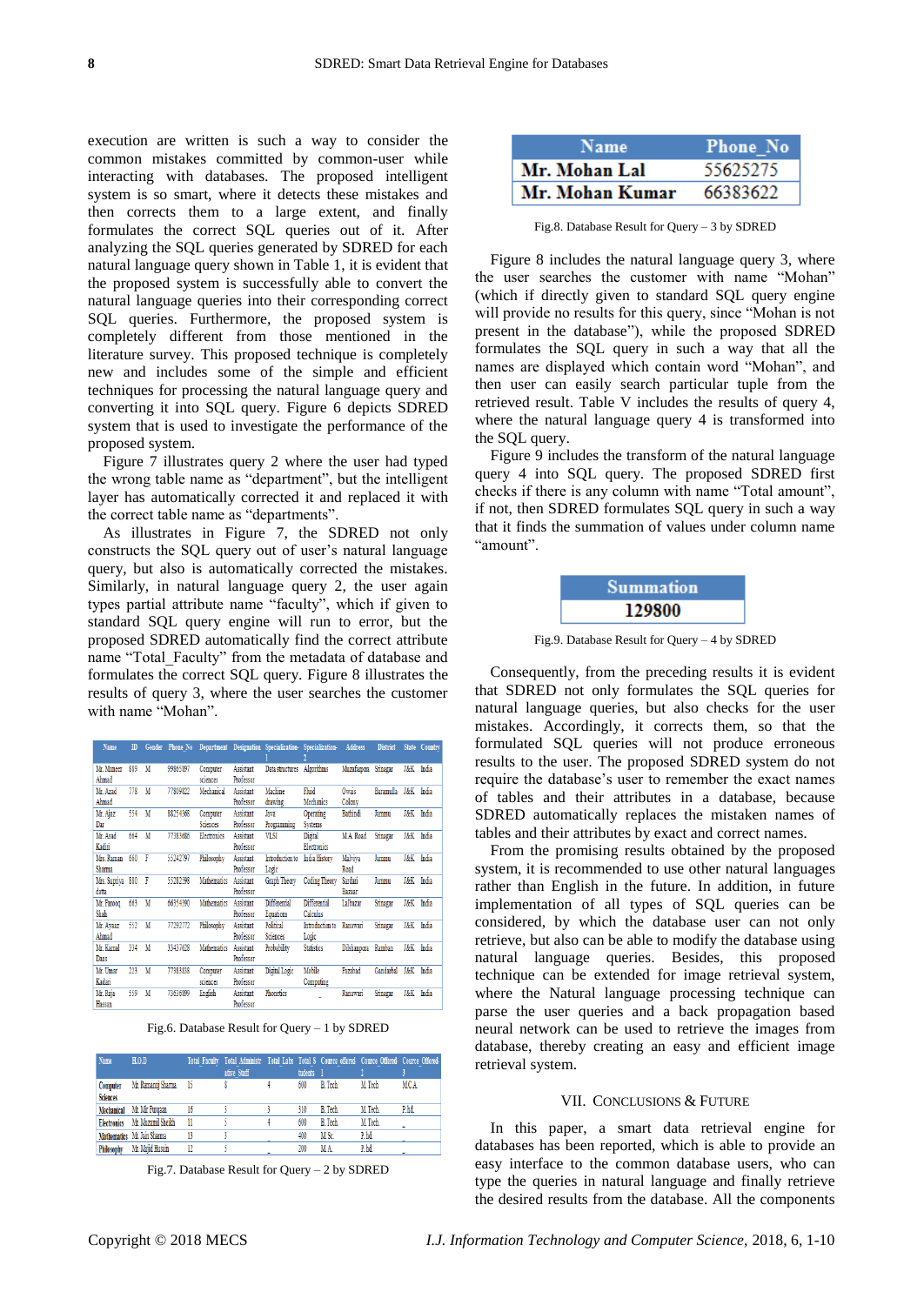execution are written is such a way to consider the common mistakes committed by common-user while interacting with databases. The proposed intelligent system is so smart, where it detects these mistakes and then corrects them to a large extent, and finally formulates the correct SQL queries out of it. After analyzing the SQL queries generated by SDRED for each natural language query shown in Table 1, it is evident that the proposed system is successfully able to convert the natural language queries into their corresponding correct SQL queries. Furthermore, the proposed system is completely different from those mentioned in the literature survey. This proposed technique is completely new and includes some of the simple and efficient techniques for processing the natural language query and converting it into SQL query. Figure 6 depicts SDRED system that is used to investigate the performance of the proposed system.

Figure 7 illustrates query 2 where the user had typed the wrong table name as "department", but the intelligent layer has automatically corrected it and replaced it with the correct table name as "departments".

As illustrates in Figure 7, the SDRED not only constructs the SQL query out of user's natural language query, but also is automatically corrected the mistakes. Similarly, in natural language query 2, the user again types partial attribute name "faculty", which if given to standard SQL query engine will run to error, but the proposed SDRED automatically find the correct attribute name "Total\_Faculty" from the metadata of database and formulates the correct SQL query. Figure 8 illustrates the results of query 3, where the user searches the customer with name "Mohan".

| Name             | $\mathbb{D}$ |   |          |             |                  |                     | Gender Phone No Department Designation Specialization- Specialization- | <b>Address</b>       | <b>District</b>  |                | State Country |
|------------------|--------------|---|----------|-------------|------------------|---------------------|------------------------------------------------------------------------|----------------------|------------------|----------------|---------------|
| Mr. Muneer       | 889          | M | 99865897 | Computer    | Assistant        | Data structures     | Algorithms                                                             | Muzafarpora Srinagar |                  | J&K            | India         |
| Ahmad            |              |   |          | sciences    | Professor        |                     |                                                                        |                      |                  |                |               |
| Mr. Azad         | 778          | M | 77809822 | Mechanical  | Assistant        | Machine             | Fluid                                                                  | Owais                | <b>Baramulla</b> | <b>J&amp;K</b> | India         |
| Ahmad            |              |   |          |             | Professor        | drawing             | Mechanics                                                              | Colony               |                  |                |               |
| Mr. Ajaz         | 554          | M | 88254368 | Computer    | <b>Assistant</b> | Java                | Operating                                                              | Bathindi             | Jammu            | J&K            | India         |
| Dar              |              |   |          | Sciences    | Professor        | Programming         | <b>Systems</b>                                                         |                      |                  |                |               |
| Mr. Asad         | 664          | M | 77383686 | Electronics | Assistant        | VLSI                | Digital                                                                | M.A. Road            | Srinagar         | <b>J&amp;K</b> | India         |
| Kadiri           |              |   |          |             | Professor        |                     | Electronics                                                            |                      |                  |                |               |
| Mrs. Raman       | 660          | F | 55242797 | Philosophy  | <b>Assistant</b> | Introduction to     | India History                                                          | Malviya              | Jammu            | <b>J&amp;K</b> | India         |
| Sharma           |              |   |          |             | Professor        | Logic               |                                                                        | Road                 |                  |                |               |
| Mrs. Supriya 880 |              | F | 55282598 | Mathematics | Assistant        | <b>Graph Theory</b> | <b>Coding Theory</b>                                                   | Sardari              | Jammu            | J&K            | India         |
| datta            |              |   |          |             | Professor        |                     |                                                                        | <b>Bazaar</b>        |                  |                |               |
| Mr. Farooq       | 663          | M | 66354390 | Mathematics | Assistant        | Differential        | Differential                                                           | Lalbazar             | Srinagar         | J&K            | India         |
| Shah             |              |   |          |             | Professor        | Equations           | Calculus                                                               |                      |                  |                |               |
| Mr. Ayaaz        | 552          | M | 77292772 | Philosophy  | <b>Assistant</b> | Political           | Introduction to                                                        | <b>Ranawari</b>      | Srinagar         | <b>J&amp;K</b> | India         |
| Ahmad            |              |   |          |             | Professor        | <b>Sciences</b>     | Logic                                                                  |                      |                  |                |               |
| Mr. Kamal        | 334          | M | 33437628 | Mathematics | <b>Assistant</b> | Probability         | <b>Statistics</b>                                                      | Dilshanpora          | Ramban           | J&K            | India         |
| Daas             |              |   |          |             | Professor        |                     |                                                                        |                      |                  |                |               |
| Mr. Umar         | 223          | M | 77383838 | Computer    | <b>Assistant</b> | Digital Logic       | Mobile                                                                 | Fazabad              | Gandarbal        | J&K            | India         |
| Kadari           |              |   |          | sciences    | Professor        |                     | Computing                                                              |                      |                  |                |               |
| Mr. Raja         | 559          | M | 73636899 | English     | Assistant        | Phonetics           |                                                                        | Ranawari             | Srinagar         | J&K            | India         |
| Haccan           |              |   |          |             | Professor        |                     |                                                                        |                      |                  |                |               |

Fig.6. Database Result for Query – 1 by SDRED

| Name                        | H.0.0                       |     | Total Faculty Total Administr Total Labs Total S Cource offered- Cource Offered- Cource Offered-<br>ative Staff | tudents 1 |                 |         |            |
|-----------------------------|-----------------------------|-----|-----------------------------------------------------------------------------------------------------------------|-----------|-----------------|---------|------------|
| Computer<br><b>Sciences</b> | Mr. Ramanuj Sharma          | -15 |                                                                                                                 | 600       | <b>B</b> Tech   | M Tech  | <b>MCA</b> |
| Mechanical                  | Mr. Mir Furoaan             | 16  |                                                                                                                 | 310       | B. Tech.        | M Tech. | P.hd.      |
| <b>Electronics</b>          | Mr. Muzamil Sheikh          | 11  |                                                                                                                 | 600       | <b>B.</b> Tech. | M Tech. |            |
|                             | Mathematics Mr. Jain Sharma | 13  |                                                                                                                 | 400       | M Sc.           | P.hd    |            |
| <b>Philosophy</b>           | Mr. Majid Husain            | 12  |                                                                                                                 | 200       | M A             | P.hd    |            |

Fig.7. Database Result for Query – 2 by SDRED

| <b>Name</b>     | <b>Phone No</b> |
|-----------------|-----------------|
| Mr. Mohan Lal   | 55625275        |
| Mr. Mohan Kumar | 66383622        |

Fig.8. Database Result for Query – 3 by SDRED

Figure 8 includes the natural language query 3, where the user searches the customer with name "Mohan" (which if directly given to standard SQL query engine will provide no results for this query, since "Mohan is not present in the database"), while the proposed SDRED formulates the SQL query in such a way that all the names are displayed which contain word "Mohan", and then user can easily search particular tuple from the retrieved result. Table V includes the results of query 4, where the natural language query 4 is transformed into the SQL query.

Figure 9 includes the transform of the natural language query 4 into SQL query. The proposed SDRED first checks if there is any column with name "Total amount", if not, then SDRED formulates SQL query in such a way that it finds the summation of values under column name "amount".



Fig.9. Database Result for Query – 4 by SDRED

Consequently, from the preceding results it is evident that SDRED not only formulates the SQL queries for natural language queries, but also checks for the user mistakes. Accordingly, it corrects them, so that the formulated SQL queries will not produce erroneous results to the user. The proposed SDRED system do not require the database's user to remember the exact names of tables and their attributes in a database, because SDRED automatically replaces the mistaken names of tables and their attributes by exact and correct names.

From the promising results obtained by the proposed system, it is recommended to use other natural languages rather than English in the future. In addition, in future implementation of all types of SQL queries can be considered, by which the database user can not only retrieve, but also can be able to modify the database using natural language queries. Besides, this proposed technique can be extended for image retrieval system, where the Natural language processing technique can parse the user queries and a back propagation based neural network can be used to retrieve the images from database, thereby creating an easy and efficient image retrieval system.

#### VII. CONCLUSIONS & FUTURE

In this paper, a smart data retrieval engine for databases has been reported, which is able to provide an easy interface to the common database users, who can type the queries in natural language and finally retrieve the desired results from the database. All the components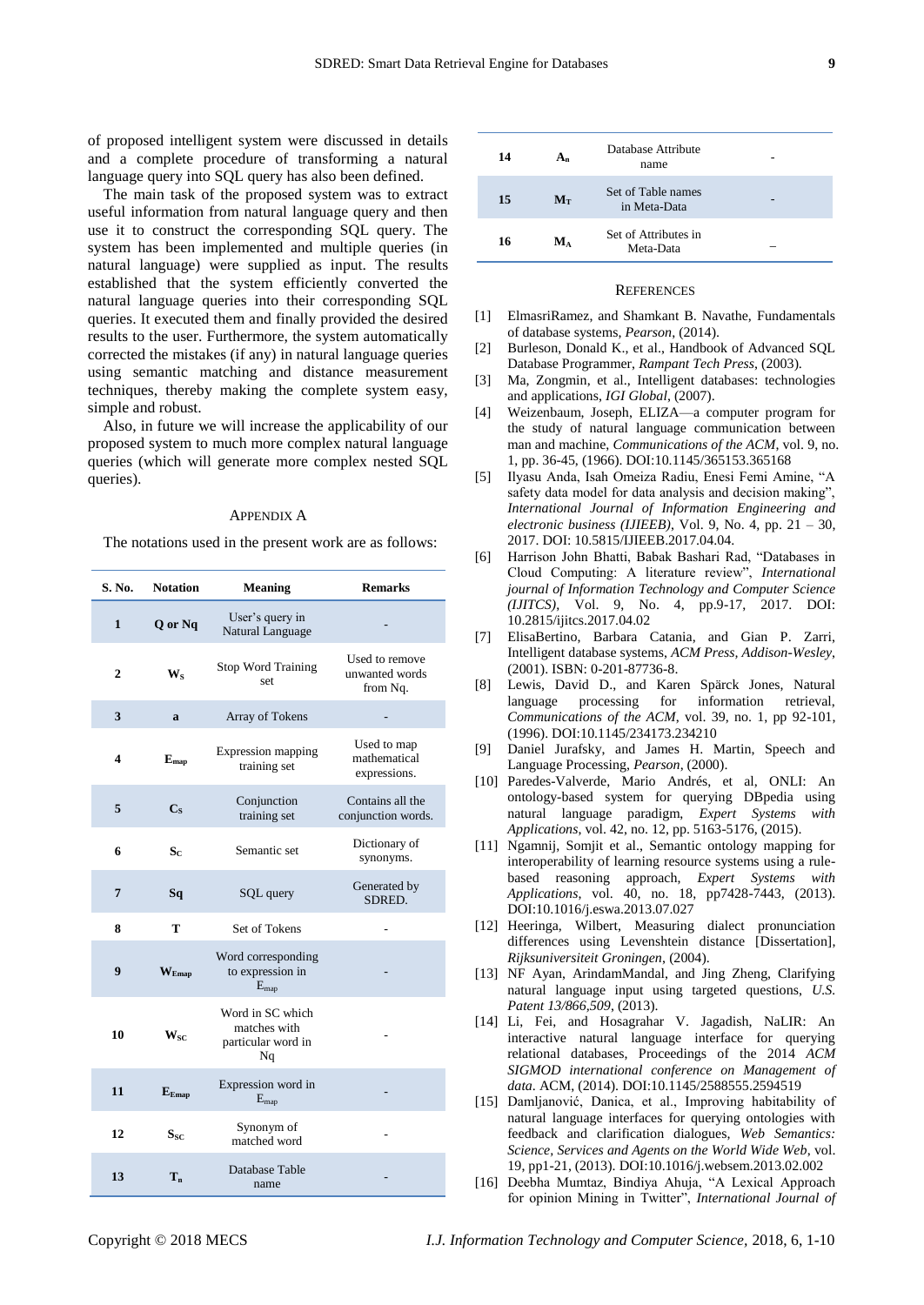of proposed intelligent system were discussed in details and a complete procedure of transforming a natural language query into SQL query has also been defined.

The main task of the proposed system was to extract useful information from natural language query and then use it to construct the corresponding SQL query. The system has been implemented and multiple queries (in natural language) were supplied as input. The results established that the system efficiently converted the natural language queries into their corresponding SQL queries. It executed them and finally provided the desired results to the user. Furthermore, the system automatically corrected the mistakes (if any) in natural language queries using semantic matching and distance measurement techniques, thereby making the complete system easy, simple and robust.

Also, in future we will increase the applicability of our proposed system to much more complex natural language queries (which will generate more complex nested SQL queries).

#### APPENDIX A

The notations used in the present work are as follows:

| S. No.       | <b>Notation</b>            | <b>Meaning</b>                                               | <b>Remarks</b>                               |
|--------------|----------------------------|--------------------------------------------------------------|----------------------------------------------|
| 1            | Q or Nq                    | User's query in<br>Natural Language                          |                                              |
| $\mathbf{2}$ | $W_{S}$                    | Stop Word Training<br>set                                    | Used to remove<br>unwanted words<br>from Nq. |
| 3            | a                          | Array of Tokens                                              |                                              |
| 4            | $E_{map}$                  | <b>Expression mapping</b><br>training set                    | Used to map<br>mathematical<br>expressions.  |
| 5            | $C_{S}$                    | Conjunction<br>training set                                  | Contains all the<br>conjunction words.       |
| 6            | $S_{C}$                    | Semantic set                                                 | Dictionary of<br>synonyms.                   |
| 7            | Sq                         | SQL query                                                    | Generated by<br>SDRED.                       |
| 8            | т                          | Set of Tokens                                                |                                              |
| 9            | $\mathbf{W}_{\text{Emaq}}$ | Word corresponding<br>to expression in<br>$E_{\rm map}$      |                                              |
| 10           | $W_{SC}$                   | Word in SC which<br>matches with<br>particular word in<br>Nq |                                              |
| 11           | $E_{Emap}$                 | Expression word in<br>$E_{map}$                              |                                              |
| 12           | $S_{SC}$                   | Synonym of<br>matched word                                   |                                              |
| 13           | T <sub>n</sub>             | Database Table<br>name                                       |                                              |

| 14 | $A_n$       | Database Attribute<br>name         |  |
|----|-------------|------------------------------------|--|
| 15 | $M_{\rm T}$ | Set of Table names<br>in Meta-Data |  |
| 16 | M۸          | Set of Attributes in<br>Meta-Data  |  |

#### **REFERENCES**

- [1] ElmasriRamez, and Shamkant B. Navathe, Fundamentals of database systems, *Pearson*, (2014).
- [2] Burleson, Donald K., et al., Handbook of Advanced SQL Database Programmer, *Rampant Tech Press*, (2003).
- [3] Ma, Zongmin, et al., Intelligent databases: technologies and applications, *IGI Global*, (2007).
- [4] Weizenbaum, Joseph, ELIZA—a computer program for the study of natural language communication between man and machine, *Communications of the ACM*, vol. 9, no. 1, pp. 36-45, (1966). DOI:10.1145/365153.365168
- [5] Ilyasu Anda, Isah Omeiza Radiu, Enesi Femi Amine, "A safety data model for data analysis and decision making", *International Journal of Information Engineering and electronic business (IJIEEB)*, Vol. 9, No. 4, pp. 21 – 30, 2017. DOI: 10.5815/IJIEEB.2017.04.04.
- [6] Harrison John Bhatti, Babak Bashari Rad, "Databases in Cloud Computing: A literature review", *International journal of Information Technology and Computer Science (IJITCS)*, Vol. 9, No. 4, pp.9-17, 2017. DOI: 10.2815/ijitcs.2017.04.02
- [7] ElisaBertino, Barbara Catania, and Gian P. Zarri, Intelligent database systems, *ACM Press, Addison-Wesley*, (2001). ISBN: 0-201-87736-8.
- [8] Lewis, David D., and Karen Spärck Jones, Natural language processing for information retrieval, *Communications of the ACM*, vol. 39, no. 1, pp 92-101, (1996). DOI:10.1145/234173.234210
- [9] Daniel Jurafsky, and James H. Martin, Speech and Language Processing, *Pearson*, (2000).
- [10] Paredes-Valverde, Mario Andrés, et al, ONLI: An ontology-based system for querying DBpedia using natural language paradigm, *Expert Systems with Applications*, vol. 42, no. 12, pp. 5163-5176, (2015).
- [11] Ngamnij, Somjit et al., Semantic ontology mapping for interoperability of learning resource systems using a rulebased reasoning approach, *Expert Systems with Applications*, vol. 40, no. 18, pp7428-7443, (2013). DOI:10.1016/j.eswa.2013.07.027
- [12] Heeringa, Wilbert, Measuring dialect pronunciation differences using Levenshtein distance [Dissertation], *Rijksuniversiteit Groningen*, (2004).
- [13] NF Ayan, ArindamMandal, and Jing Zheng, Clarifying natural language input using targeted questions, *U.S. Patent 13/866,509*, (2013).
- [14] Li, Fei, and Hosagrahar V. Jagadish, NaLIR: An interactive natural language interface for querying relational databases, Proceedings of the 2014 *ACM SIGMOD international conference on Management of data*. ACM, (2014). DOI:10.1145/2588555.2594519
- [15] Damljanović, Danica, et al., Improving habitability of natural language interfaces for querying ontologies with feedback and clarification dialogues, *Web Semantics: Science, Services and Agents on the World Wide Web*, vol. 19, pp1-21, (2013). DOI:10.1016/j.websem.2013.02.002
- [16] Deebha Mumtaz, Bindiya Ahuja, "A Lexical Approach for opinion Mining in Twitter", *International Journal of*